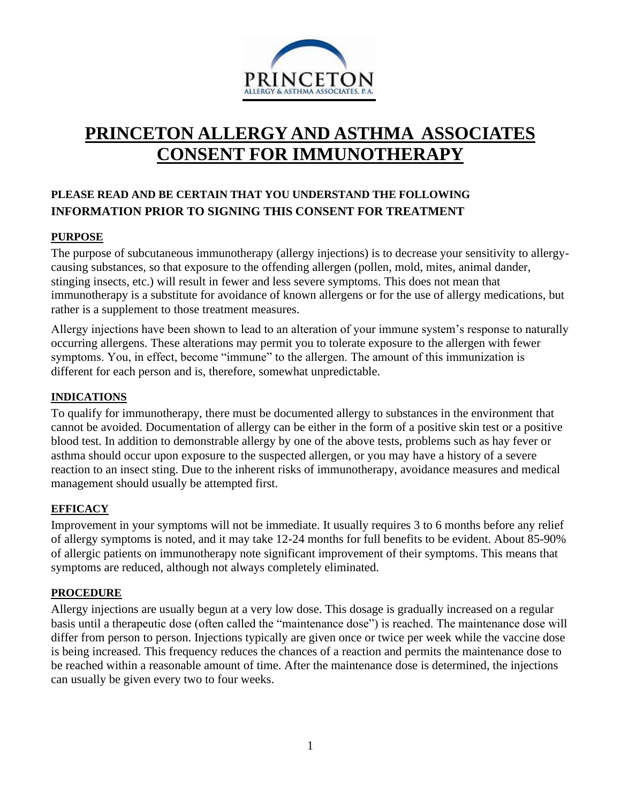

# **PRINCETON ALLERGY AND ASTHMA ASSOCIATES CONSENT FOR IMMUNOTHERAPY**

## **PLEASE READ AND BE CERTAIN THAT YOU UNDERSTAND THE FOLLOWING INFORMATION PRIOR TO SIGNING THIS CONSENT FOR TREATMENT**

## **PURPOSE**

The purpose of subcutaneous immunotherapy (allergy injections) is to decrease your sensitivity to allergycausing substances, so that exposure to the offending allergen (pollen, mold, mites, animal dander, stinging insects, etc.) will result in fewer and less severe symptoms. This does not mean that immunotherapy is a substitute for avoidance of known allergens or for the use of allergy medications, but rather is a supplement to those treatment measures.

Allergy injections have been shown to lead to an alteration of your immune system's response to naturally occurring allergens. These alterations may permit you to tolerate exposure to the allergen with fewer symptoms. You, in effect, become "immune" to the allergen. The amount of this immunization is different for each person and is, therefore, somewhat unpredictable.

#### **INDICATIONS**

To qualify for immunotherapy, there must be documented allergy to substances in the environment that cannot be avoided. Documentation of allergy can be either in the form of a positive skin test or a positive blood test. In addition to demonstrable allergy by one of the above tests, problems such as hay fever or asthma should occur upon exposure to the suspected allergen, or you may have a history of a severe reaction to an insect sting. Due to the inherent risks of immunotherapy, avoidance measures and medical management should usually be attempted first.

#### **EFFICACY**

Improvement in your symptoms will not be immediate. It usually requires 3 to 6 months before any relief of allergy symptoms is noted, and it may take 12-24 months for full benefits to be evident. About 85-90% of allergic patients on immunotherapy note significant improvement of their symptoms. This means that symptoms are reduced, although not always completely eliminated.

#### **PROCEDURE**

Allergy injections are usually begun at a very low dose. This dosage is gradually increased on a regular basis until a therapeutic dose (often called the "maintenance dose") is reached. The maintenance dose will differ from person to person. Injections typically are given once or twice per week while the vaccine dose is being increased. This frequency reduces the chances of a reaction and permits the maintenance dose to be reached within a reasonable amount of time. After the maintenance dose is determined, the injections can usually be given every two to four weeks.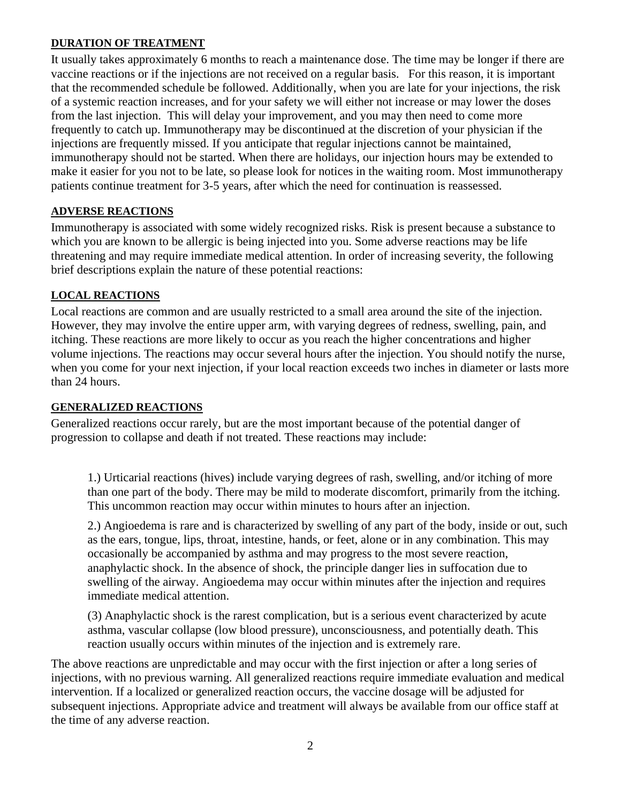#### **DURATION OF TREATMENT**

It usually takes approximately 6 months to reach a maintenance dose. The time may be longer if there are vaccine reactions or if the injections are not received on a regular basis. For this reason, it is important that the recommended schedule be followed. Additionally, when you are late for your injections, the risk of a systemic reaction increases, and for your safety we will either not increase or may lower the doses from the last injection. This will delay your improvement, and you may then need to come more frequently to catch up. Immunotherapy may be discontinued at the discretion of your physician if the injections are frequently missed. If you anticipate that regular injections cannot be maintained, immunotherapy should not be started. When there are holidays, our injection hours may be extended to make it easier for you not to be late, so please look for notices in the waiting room. Most immunotherapy patients continue treatment for 3-5 years, after which the need for continuation is reassessed.

## **ADVERSE REACTIONS**

Immunotherapy is associated with some widely recognized risks. Risk is present because a substance to which you are known to be allergic is being injected into you. Some adverse reactions may be life threatening and may require immediate medical attention. In order of increasing severity, the following brief descriptions explain the nature of these potential reactions:

## **LOCAL REACTIONS**

Local reactions are common and are usually restricted to a small area around the site of the injection. However, they may involve the entire upper arm, with varying degrees of redness, swelling, pain, and itching. These reactions are more likely to occur as you reach the higher concentrations and higher volume injections. The reactions may occur several hours after the injection. You should notify the nurse, when you come for your next injection, if your local reaction exceeds two inches in diameter or lasts more than 24 hours.

## **GENERALIZED REACTIONS**

Generalized reactions occur rarely, but are the most important because of the potential danger of progression to collapse and death if not treated. These reactions may include:

1.) Urticarial reactions (hives) include varying degrees of rash, swelling, and/or itching of more than one part of the body. There may be mild to moderate discomfort, primarily from the itching. This uncommon reaction may occur within minutes to hours after an injection.

2.) Angioedema is rare and is characterized by swelling of any part of the body, inside or out, such as the ears, tongue, lips, throat, intestine, hands, or feet, alone or in any combination. This may occasionally be accompanied by asthma and may progress to the most severe reaction, anaphylactic shock. In the absence of shock, the principle danger lies in suffocation due to swelling of the airway. Angioedema may occur within minutes after the injection and requires immediate medical attention.

(3) Anaphylactic shock is the rarest complication, but is a serious event characterized by acute asthma, vascular collapse (low blood pressure), unconsciousness, and potentially death. This reaction usually occurs within minutes of the injection and is extremely rare.

The above reactions are unpredictable and may occur with the first injection or after a long series of injections, with no previous warning. All generalized reactions require immediate evaluation and medical intervention. If a localized or generalized reaction occurs, the vaccine dosage will be adjusted for subsequent injections. Appropriate advice and treatment will always be available from our office staff at the time of any adverse reaction.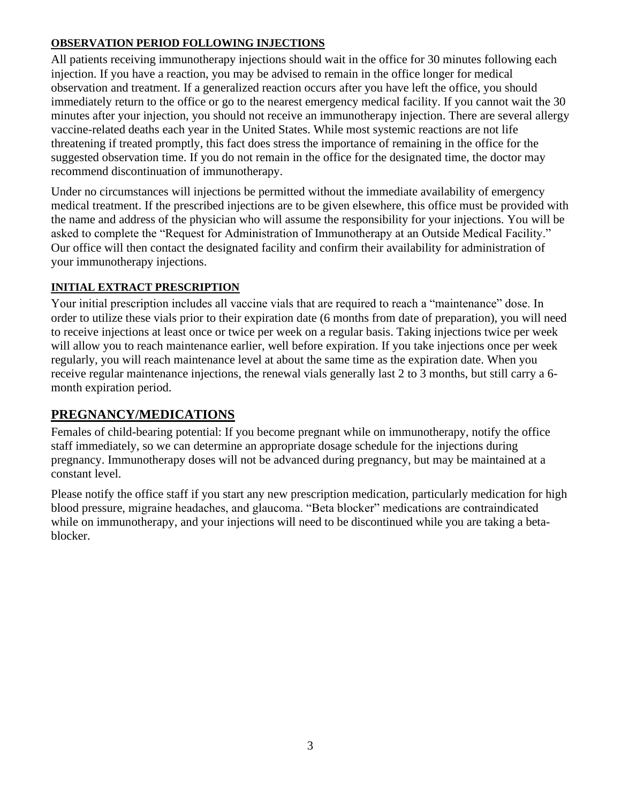## **OBSERVATION PERIOD FOLLOWING INJECTIONS**

All patients receiving immunotherapy injections should wait in the office for 30 minutes following each injection. If you have a reaction, you may be advised to remain in the office longer for medical observation and treatment. If a generalized reaction occurs after you have left the office, you should immediately return to the office or go to the nearest emergency medical facility. If you cannot wait the 30 minutes after your injection, you should not receive an immunotherapy injection. There are several allergy vaccine-related deaths each year in the United States. While most systemic reactions are not life threatening if treated promptly, this fact does stress the importance of remaining in the office for the suggested observation time. If you do not remain in the office for the designated time, the doctor may recommend discontinuation of immunotherapy.

Under no circumstances will injections be permitted without the immediate availability of emergency medical treatment. If the prescribed injections are to be given elsewhere, this office must be provided with the name and address of the physician who will assume the responsibility for your injections. You will be asked to complete the "Request for Administration of Immunotherapy at an Outside Medical Facility." Our office will then contact the designated facility and confirm their availability for administration of your immunotherapy injections.

## **INITIAL EXTRACT PRESCRIPTION**

Your initial prescription includes all vaccine vials that are required to reach a "maintenance" dose. In order to utilize these vials prior to their expiration date (6 months from date of preparation), you will need to receive injections at least once or twice per week on a regular basis. Taking injections twice per week will allow you to reach maintenance earlier, well before expiration. If you take injections once per week regularly, you will reach maintenance level at about the same time as the expiration date. When you receive regular maintenance injections, the renewal vials generally last 2 to 3 months, but still carry a 6 month expiration period.

## **PREGNANCY/MEDICATIONS**

Females of child-bearing potential: If you become pregnant while on immunotherapy, notify the office staff immediately, so we can determine an appropriate dosage schedule for the injections during pregnancy. Immunotherapy doses will not be advanced during pregnancy, but may be maintained at a constant level.

Please notify the office staff if you start any new prescription medication, particularly medication for high blood pressure, migraine headaches, and glaucoma. "Beta blocker" medications are contraindicated while on immunotherapy, and your injections will need to be discontinued while you are taking a betablocker.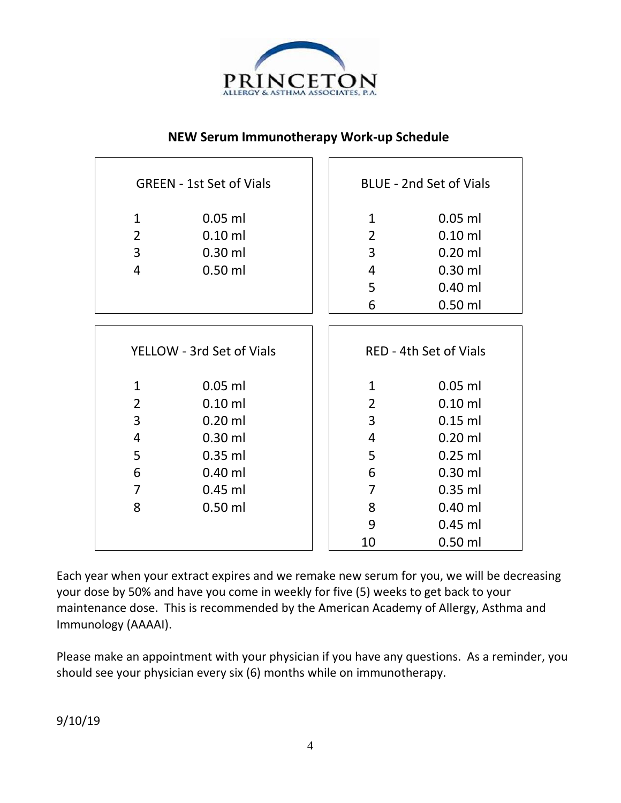

## **NEW Serum Immunotherapy Work-up Schedule**

| <b>GREEN - 1st Set of Vials</b> |           |                               | <b>BLUE - 2nd Set of Vials</b> |           |
|---------------------------------|-----------|-------------------------------|--------------------------------|-----------|
| $\mathbf{1}$                    | $0.05$ ml |                               | $\mathbf{1}$                   | $0.05$ ml |
| $\overline{2}$                  | $0.10$ ml |                               | $\overline{2}$                 | $0.10$ ml |
| 3                               | $0.30$ ml |                               | 3                              | $0.20$ ml |
| 4                               | $0.50$ ml |                               | 4                              | $0.30$ ml |
|                                 |           |                               | 5                              | $0.40$ ml |
|                                 |           |                               | 6                              | $0.50$ ml |
|                                 |           |                               |                                |           |
| YELLOW - 3rd Set of Vials       |           | <b>RED - 4th Set of Vials</b> |                                |           |
| $\mathbf{1}$                    | $0.05$ ml |                               | $\mathbf{1}$                   | $0.05$ ml |
| $\overline{2}$                  | $0.10$ ml |                               | $\overline{2}$                 | $0.10$ ml |
| 3                               | $0.20$ ml |                               | 3                              | $0.15$ ml |
| 4                               | $0.30$ ml |                               | 4                              | $0.20$ ml |
| 5                               | $0.35$ ml |                               | 5                              | $0.25$ ml |
| 6                               | $0.40$ ml |                               | 6                              | $0.30$ ml |
| $\overline{7}$                  | $0.45$ ml |                               | $\overline{7}$                 | $0.35$ ml |
| 8                               | $0.50$ ml |                               | 8                              | $0.40$ ml |
|                                 |           |                               | 9                              | $0.45$ ml |
|                                 |           |                               | 10                             | $0.50$ ml |

Each year when your extract expires and we remake new serum for you, we will be decreasing your dose by 50% and have you come in weekly for five (5) weeks to get back to your maintenance dose. This is recommended by the American Academy of Allergy, Asthma and Immunology (AAAAI).

Please make an appointment with your physician if you have any questions. As a reminder, you should see your physician every six (6) months while on immunotherapy.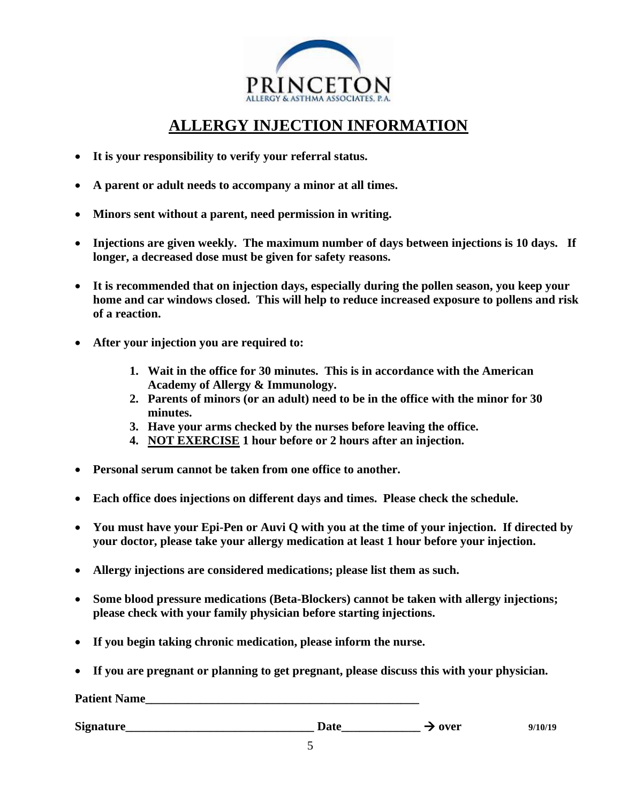

## **ALLERGY INJECTION INFORMATION**

- **It is your responsibility to verify your referral status.**
- **A parent or adult needs to accompany a minor at all times.**
- **Minors sent without a parent, need permission in writing.**
- **Injections are given weekly. The maximum number of days between injections is 10 days. If longer, a decreased dose must be given for safety reasons.**
- **It is recommended that on injection days, especially during the pollen season, you keep your home and car windows closed. This will help to reduce increased exposure to pollens and risk of a reaction.**
- **After your injection you are required to:**
	- **1. Wait in the office for 30 minutes. This is in accordance with the American Academy of Allergy & Immunology.**
	- **2. Parents of minors (or an adult) need to be in the office with the minor for 30 minutes.**
	- **3. Have your arms checked by the nurses before leaving the office.**
	- **4. NOT EXERCISE 1 hour before or 2 hours after an injection.**
- **Personal serum cannot be taken from one office to another.**
- **Each office does injections on different days and times. Please check the schedule.**
- **You must have your Epi-Pen or Auvi Q with you at the time of your injection. If directed by your doctor, please take your allergy medication at least 1 hour before your injection.**
- **Allergy injections are considered medications; please list them as such.**
- **Some blood pressure medications (Beta-Blockers) cannot be taken with allergy injections; please check with your family physician before starting injections.**
- **If you begin taking chronic medication, please inform the nurse.**
- **If you are pregnant or planning to get pregnant, please discuss this with your physician.**

**Patient Name**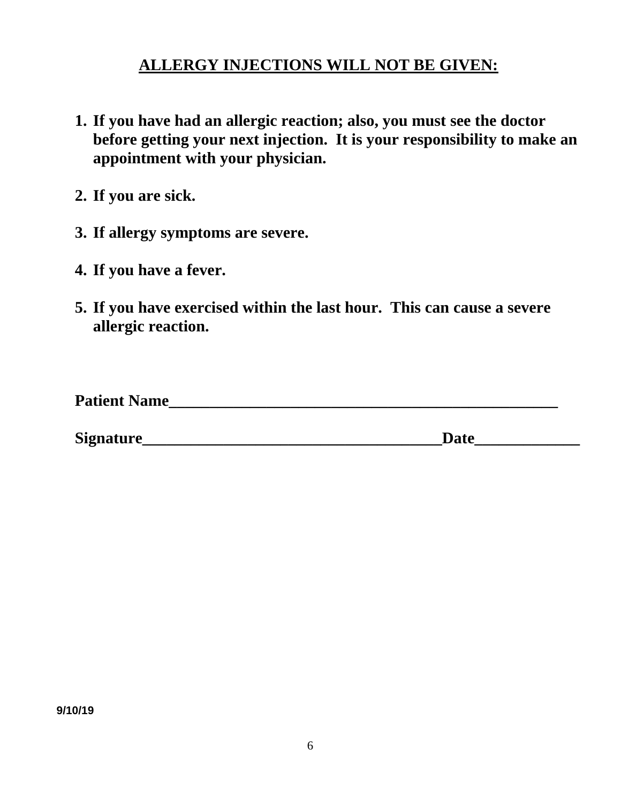## **ALLERGY INJECTIONS WILL NOT BE GIVEN:**

- **1. If you have had an allergic reaction; also, you must see the doctor before getting your next injection. It is your responsibility to make an appointment with your physician.**
- **2. If you are sick.**
- **3. If allergy symptoms are severe.**
- **4. If you have a fever.**
- **5. If you have exercised within the last hour. This can cause a severe allergic reaction.**

| <b>Patient Na</b><br>Name |  |
|---------------------------|--|
|                           |  |

**Signature\_\_\_\_\_\_\_\_\_\_\_\_\_\_\_\_\_\_\_\_\_\_\_\_\_\_\_\_\_\_\_\_\_\_\_\_\_Date\_\_\_\_\_\_\_\_\_\_\_\_\_**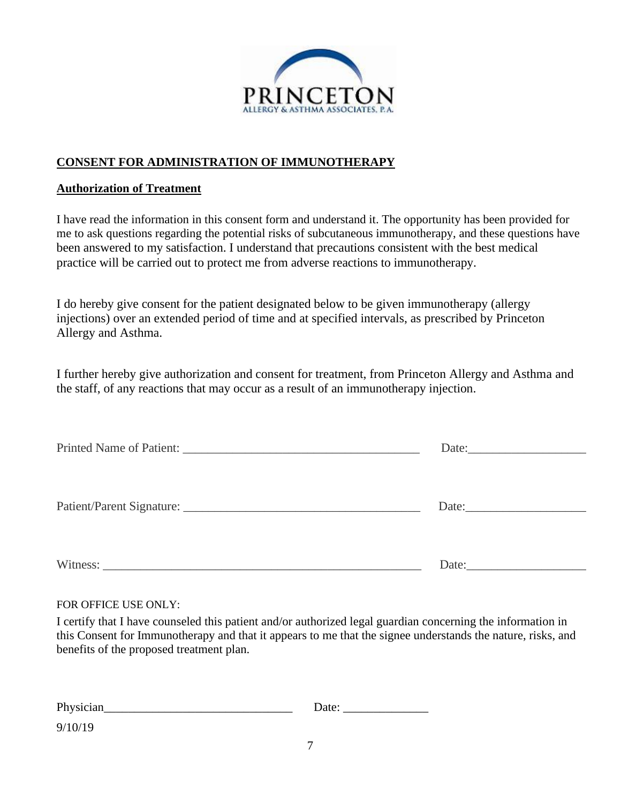

## **CONSENT FOR ADMINISTRATION OF IMMUNOTHERAPY**

### **Authorization of Treatment**

I have read the information in this consent form and understand it. The opportunity has been provided for me to ask questions regarding the potential risks of subcutaneous immunotherapy, and these questions have been answered to my satisfaction. I understand that precautions consistent with the best medical practice will be carried out to protect me from adverse reactions to immunotherapy.

I do hereby give consent for the patient designated below to be given immunotherapy (allergy injections) over an extended period of time and at specified intervals, as prescribed by Princeton Allergy and Asthma.

I further hereby give authorization and consent for treatment, from Princeton Allergy and Asthma and the staff, of any reactions that may occur as a result of an immunotherapy injection.

| Printed Name of Patient: 2008 and 2008 and 2008 and 2008 and 2008 and 2008 and 2008 and 2008 and 2008 and 2008 and 2008 and 2008 and 2008 and 2008 and 2008 and 2008 and 2008 and 2008 and 2008 and 2008 and 2008 and 2008 and | Date:                 |
|--------------------------------------------------------------------------------------------------------------------------------------------------------------------------------------------------------------------------------|-----------------------|
| Patient/Parent Signature:                                                                                                                                                                                                      | Date: $\qquad \qquad$ |
| Witness:                                                                                                                                                                                                                       | Date:                 |

#### FOR OFFICE USE ONLY:

I certify that I have counseled this patient and/or authorized legal guardian concerning the information in this Consent for Immunotherapy and that it appears to me that the signee understands the nature, risks, and benefits of the proposed treatment plan.

| Physician | Date: |
|-----------|-------|
| 9/10/19   |       |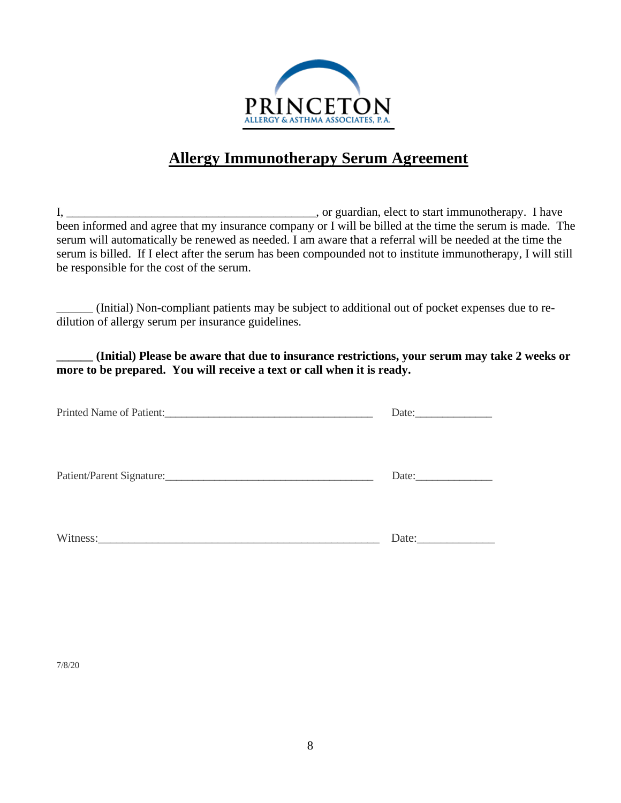

## **Allergy Immunotherapy Serum Agreement**

I, \_\_\_\_\_\_\_\_\_\_\_\_\_\_\_\_\_\_\_\_\_\_\_\_\_\_\_\_\_\_\_\_\_\_\_\_\_\_\_\_\_, or guardian, elect to start immunotherapy. I have been informed and agree that my insurance company or I will be billed at the time the serum is made. The serum will automatically be renewed as needed. I am aware that a referral will be needed at the time the serum is billed. If I elect after the serum has been compounded not to institute immunotherapy, I will still be responsible for the cost of the serum.

\_\_\_\_\_\_ (Initial) Non-compliant patients may be subject to additional out of pocket expenses due to redilution of allergy serum per insurance guidelines.

**\_\_\_\_\_\_ (Initial) Please be aware that due to insurance restrictions, your serum may take 2 weeks or more to be prepared. You will receive a text or call when it is ready.**

|                           | Date: $\qquad \qquad$ |
|---------------------------|-----------------------|
| Patient/Parent Signature: | Date:                 |
|                           | Date:                 |

7/8/20